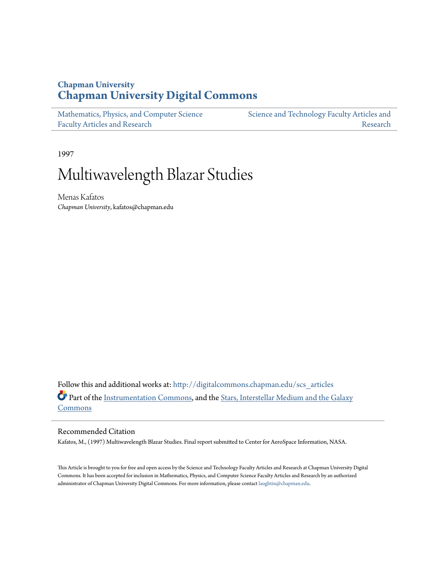## **Chapman University [Chapman University Digital Commons](http://digitalcommons.chapman.edu?utm_source=digitalcommons.chapman.edu%2Fscs_articles%2F149&utm_medium=PDF&utm_campaign=PDFCoverPages)**

| Mathematics, Physics, and Computer Science | Science and Technology Faculty Articles and |
|--------------------------------------------|---------------------------------------------|
| <b>Faculty Articles and Research</b>       | Research                                    |

1997

# Multiwavelength Blazar Studies

Menas Kafatos *Chapman University*, kafatos@chapman.edu

Follow this and additional works at: [http://digitalcommons.chapman.edu/scs\\_articles](http://digitalcommons.chapman.edu/scs_articles?utm_source=digitalcommons.chapman.edu%2Fscs_articles%2F149&utm_medium=PDF&utm_campaign=PDFCoverPages) Part of the [Instrumentation Commons](http://network.bepress.com/hgg/discipline/125?utm_source=digitalcommons.chapman.edu%2Fscs_articles%2F149&utm_medium=PDF&utm_campaign=PDFCoverPages), and the [Stars, Interstellar Medium and the Galaxy](http://network.bepress.com/hgg/discipline/127?utm_source=digitalcommons.chapman.edu%2Fscs_articles%2F149&utm_medium=PDF&utm_campaign=PDFCoverPages) [Commons](http://network.bepress.com/hgg/discipline/127?utm_source=digitalcommons.chapman.edu%2Fscs_articles%2F149&utm_medium=PDF&utm_campaign=PDFCoverPages)

## Recommended Citation

Kafatos, M., (1997) Multiwavelength Blazar Studies. Final report submitted to Center for AeroSpace Information, NASA.

This Article is brought to you for free and open access by the Science and Technology Faculty Articles and Research at Chapman University Digital Commons. It has been accepted for inclusion in Mathematics, Physics, and Computer Science Faculty Articles and Research by an authorized administrator of Chapman University Digital Commons. For more information, please contact [laughtin@chapman.edu.](mailto:laughtin@chapman.edu)